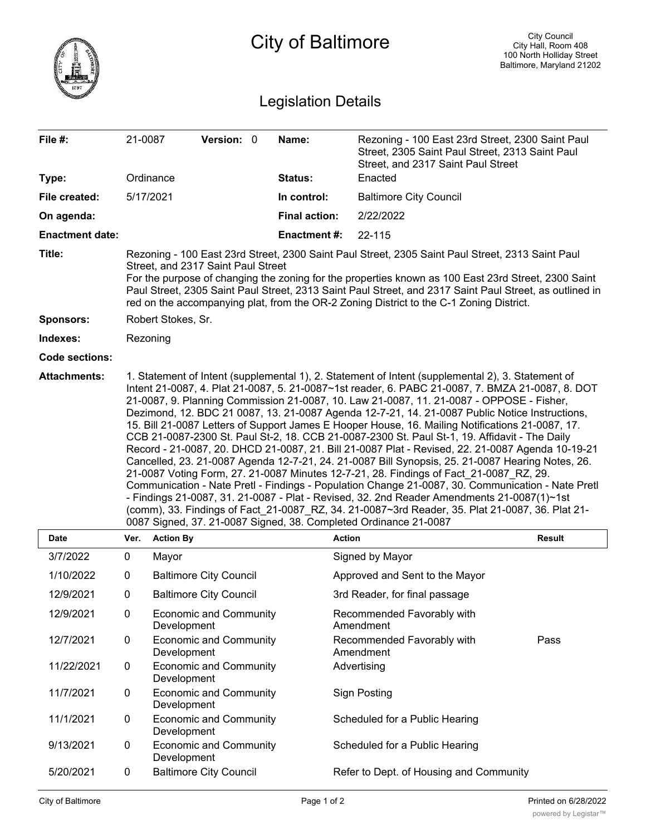|                            |                                                                                                                                                                                                                                                                                                                                                                                                                                                                                                                                                                                                                                                                                                                                                                                                                                                                                                                                                                                                                                                                                                                                                                                                                                                                                      |                  |                               |  | <b>City of Baltimore</b> |                                                                                                                                           | <b>City Council</b><br>City Hall, Room 408<br>100 North Holliday Street<br>Baltimore, Maryland 21202 |  |
|----------------------------|--------------------------------------------------------------------------------------------------------------------------------------------------------------------------------------------------------------------------------------------------------------------------------------------------------------------------------------------------------------------------------------------------------------------------------------------------------------------------------------------------------------------------------------------------------------------------------------------------------------------------------------------------------------------------------------------------------------------------------------------------------------------------------------------------------------------------------------------------------------------------------------------------------------------------------------------------------------------------------------------------------------------------------------------------------------------------------------------------------------------------------------------------------------------------------------------------------------------------------------------------------------------------------------|------------------|-------------------------------|--|--------------------------|-------------------------------------------------------------------------------------------------------------------------------------------|------------------------------------------------------------------------------------------------------|--|
| <b>Legislation Details</b> |                                                                                                                                                                                                                                                                                                                                                                                                                                                                                                                                                                                                                                                                                                                                                                                                                                                                                                                                                                                                                                                                                                                                                                                                                                                                                      |                  |                               |  |                          |                                                                                                                                           |                                                                                                      |  |
| File #:                    | 21-0087                                                                                                                                                                                                                                                                                                                                                                                                                                                                                                                                                                                                                                                                                                                                                                                                                                                                                                                                                                                                                                                                                                                                                                                                                                                                              |                  | Version: 0                    |  | Name:                    | Rezoning - 100 East 23rd Street, 2300 Saint Paul<br>Street, 2305 Saint Paul Street, 2313 Saint Paul<br>Street, and 2317 Saint Paul Street |                                                                                                      |  |
| Type:                      |                                                                                                                                                                                                                                                                                                                                                                                                                                                                                                                                                                                                                                                                                                                                                                                                                                                                                                                                                                                                                                                                                                                                                                                                                                                                                      | Ordinance        |                               |  | Status:                  | Enacted                                                                                                                                   |                                                                                                      |  |
| File created:              | 5/17/2021                                                                                                                                                                                                                                                                                                                                                                                                                                                                                                                                                                                                                                                                                                                                                                                                                                                                                                                                                                                                                                                                                                                                                                                                                                                                            |                  |                               |  | In control:              | <b>Baltimore City Council</b>                                                                                                             |                                                                                                      |  |
| On agenda:                 |                                                                                                                                                                                                                                                                                                                                                                                                                                                                                                                                                                                                                                                                                                                                                                                                                                                                                                                                                                                                                                                                                                                                                                                                                                                                                      |                  |                               |  | <b>Final action:</b>     | 2/22/2022                                                                                                                                 |                                                                                                      |  |
| <b>Enactment date:</b>     |                                                                                                                                                                                                                                                                                                                                                                                                                                                                                                                                                                                                                                                                                                                                                                                                                                                                                                                                                                                                                                                                                                                                                                                                                                                                                      |                  |                               |  | <b>Enactment#:</b>       | 22-115                                                                                                                                    |                                                                                                      |  |
| Title:                     | Rezoning - 100 East 23rd Street, 2300 Saint Paul Street, 2305 Saint Paul Street, 2313 Saint Paul<br>Street, and 2317 Saint Paul Street<br>For the purpose of changing the zoning for the properties known as 100 East 23rd Street, 2300 Saint<br>Paul Street, 2305 Saint Paul Street, 2313 Saint Paul Street, and 2317 Saint Paul Street, as outlined in<br>red on the accompanying plat, from the OR-2 Zoning District to the C-1 Zoning District.                                                                                                                                                                                                                                                                                                                                                                                                                                                                                                                                                                                                                                                                                                                                                                                                                                  |                  |                               |  |                          |                                                                                                                                           |                                                                                                      |  |
| <b>Sponsors:</b>           | Robert Stokes, Sr.                                                                                                                                                                                                                                                                                                                                                                                                                                                                                                                                                                                                                                                                                                                                                                                                                                                                                                                                                                                                                                                                                                                                                                                                                                                                   |                  |                               |  |                          |                                                                                                                                           |                                                                                                      |  |
| Indexes:                   | Rezoning                                                                                                                                                                                                                                                                                                                                                                                                                                                                                                                                                                                                                                                                                                                                                                                                                                                                                                                                                                                                                                                                                                                                                                                                                                                                             |                  |                               |  |                          |                                                                                                                                           |                                                                                                      |  |
| <b>Code sections:</b>      |                                                                                                                                                                                                                                                                                                                                                                                                                                                                                                                                                                                                                                                                                                                                                                                                                                                                                                                                                                                                                                                                                                                                                                                                                                                                                      |                  |                               |  |                          |                                                                                                                                           |                                                                                                      |  |
| <b>Attachments:</b>        | 1. Statement of Intent (supplemental 1), 2. Statement of Intent (supplemental 2), 3. Statement of<br>Intent 21-0087, 4. Plat 21-0087, 5. 21-0087~1st reader, 6. PABC 21-0087, 7. BMZA 21-0087, 8. DOT<br>21-0087, 9. Planning Commission 21-0087, 10. Law 21-0087, 11. 21-0087 - OPPOSE - Fisher,<br>Dezimond, 12. BDC 21 0087, 13. 21-0087 Agenda 12-7-21, 14. 21-0087 Public Notice Instructions,<br>15. Bill 21-0087 Letters of Support James E Hooper House, 16. Mailing Notifications 21-0087, 17.<br>CCB 21-0087-2300 St. Paul St-2, 18. CCB 21-0087-2300 St. Paul St-1, 19. Affidavit - The Daily<br>Record - 21-0087, 20. DHCD 21-0087, 21. Bill 21-0087 Plat - Revised, 22. 21-0087 Agenda 10-19-21<br>Cancelled, 23. 21-0087 Agenda 12-7-21, 24. 21-0087 Bill Synopsis, 25. 21-0087 Hearing Notes, 26.<br>21-0087 Voting Form, 27. 21-0087 Minutes 12-7-21, 28. Findings of Fact_21-0087_RZ, 29.<br>Communication - Nate Pretl - Findings - Population Change 21-0087, 30. Communication - Nate Pretl<br>- Findings 21-0087, 31. 21-0087 - Plat - Revised, 32. 2nd Reader Amendments 21-0087(1)~1st<br>(comm), 33. Findings of Fact_21-0087_RZ, 34. 21-0087~3rd Reader, 35. Plat 21-0087, 36. Plat 21-<br>0087 Signed, 37. 21-0087 Signed, 38. Completed Ordinance 21-0087 |                  |                               |  |                          |                                                                                                                                           |                                                                                                      |  |
| Date                       | Ver.                                                                                                                                                                                                                                                                                                                                                                                                                                                                                                                                                                                                                                                                                                                                                                                                                                                                                                                                                                                                                                                                                                                                                                                                                                                                                 | <b>Action By</b> |                               |  |                          | <b>Action</b>                                                                                                                             | <b>Result</b>                                                                                        |  |
| 3/7/2022                   | 0                                                                                                                                                                                                                                                                                                                                                                                                                                                                                                                                                                                                                                                                                                                                                                                                                                                                                                                                                                                                                                                                                                                                                                                                                                                                                    | Mayor            |                               |  |                          | Signed by Mayor                                                                                                                           |                                                                                                      |  |
| 1/10/2022                  | 0                                                                                                                                                                                                                                                                                                                                                                                                                                                                                                                                                                                                                                                                                                                                                                                                                                                                                                                                                                                                                                                                                                                                                                                                                                                                                    |                  | <b>Baltimore City Council</b> |  |                          | Approved and Sent to the Mayor                                                                                                            |                                                                                                      |  |
| 12/9/2021                  | 0                                                                                                                                                                                                                                                                                                                                                                                                                                                                                                                                                                                                                                                                                                                                                                                                                                                                                                                                                                                                                                                                                                                                                                                                                                                                                    |                  | <b>Baltimore City Council</b> |  |                          | 3rd Reader, for final passage                                                                                                             |                                                                                                      |  |
| 12/9/2021                  | 0                                                                                                                                                                                                                                                                                                                                                                                                                                                                                                                                                                                                                                                                                                                                                                                                                                                                                                                                                                                                                                                                                                                                                                                                                                                                                    | Development      | <b>Economic and Community</b> |  |                          | Recommended Favorably with<br>Amendment                                                                                                   |                                                                                                      |  |
| 12/7/2021                  | 0                                                                                                                                                                                                                                                                                                                                                                                                                                                                                                                                                                                                                                                                                                                                                                                                                                                                                                                                                                                                                                                                                                                                                                                                                                                                                    | Development      | <b>Economic and Community</b> |  |                          | Recommended Favorably with<br>Amendment                                                                                                   | Pass                                                                                                 |  |
| 11/22/2021                 | 0                                                                                                                                                                                                                                                                                                                                                                                                                                                                                                                                                                                                                                                                                                                                                                                                                                                                                                                                                                                                                                                                                                                                                                                                                                                                                    | Development      | <b>Economic and Community</b> |  |                          | Advertising                                                                                                                               |                                                                                                      |  |
| 11/7/2021                  | 0                                                                                                                                                                                                                                                                                                                                                                                                                                                                                                                                                                                                                                                                                                                                                                                                                                                                                                                                                                                                                                                                                                                                                                                                                                                                                    | Development      | <b>Economic and Community</b> |  |                          | <b>Sign Posting</b>                                                                                                                       |                                                                                                      |  |
| 11/1/2021                  | 0                                                                                                                                                                                                                                                                                                                                                                                                                                                                                                                                                                                                                                                                                                                                                                                                                                                                                                                                                                                                                                                                                                                                                                                                                                                                                    | Development      | <b>Economic and Community</b> |  |                          | Scheduled for a Public Hearing                                                                                                            |                                                                                                      |  |
| 9/13/2021                  | 0                                                                                                                                                                                                                                                                                                                                                                                                                                                                                                                                                                                                                                                                                                                                                                                                                                                                                                                                                                                                                                                                                                                                                                                                                                                                                    | Development      | <b>Economic and Community</b> |  |                          | Scheduled for a Public Hearing                                                                                                            |                                                                                                      |  |
| 5/20/2021                  | 0                                                                                                                                                                                                                                                                                                                                                                                                                                                                                                                                                                                                                                                                                                                                                                                                                                                                                                                                                                                                                                                                                                                                                                                                                                                                                    |                  | <b>Baltimore City Council</b> |  |                          | Refer to Dept. of Housing and Community                                                                                                   |                                                                                                      |  |